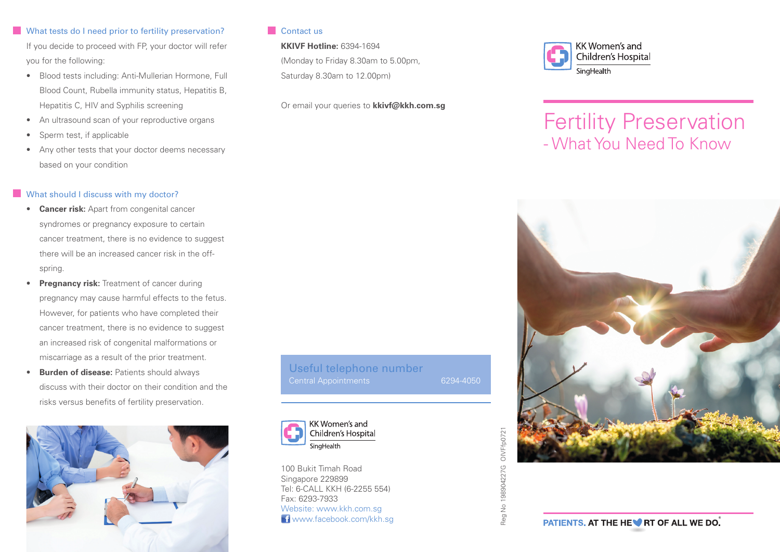## What tests do I need prior to fertility preservation?

If you decide to proceed with FP, your doctor will refer you for the following:

- Blood tests including: Anti-Mullerian Hormone, Full Blood Count, Rubella immunity status, Hepatitis B, Hepatitis C, HIV and Syphilis screening
- An ultrasound scan of your reproductive organs
- Sperm test, if applicable
- Any other tests that your doctor deems necessary based on your condition

## What should I discuss with my doctor?

- **Cancer risk:** Apart from congenital cancer syndromes or pregnancy exposure to certain cancer treatment, there is no evidence to suggest there will be an increased cancer risk in the offspring.
- **Pregnancy risk:** Treatment of cancer during pregnancy may cause harmful effects to the fetus. However, for patients who have completed their cancer treatment, there is no evidence to suggest an increased risk of congenital malformations or miscarriage as a result of the prior treatment.
- **Burden of disease:** Patients should always discuss with their doctor on their condition and the risks versus benefits of fertility preservation.



## **Contact us**

## **KKIVF Hotline:** 6394-1694

(Monday to Friday 8.30am to 5.00pm, Saturday 8.30am to 12.00pm)

Or email your queries to **kkivf@kkh.com.sg**

# Useful telephone number Central Appointments 6294-4050



100 Bukit Timah Road Singapore 229899 Tel: 6-CALL KKH (6-2255 554) Fax: 6293-7933 Website: www.kkh.com.sg **f** www.facebook.com/kkh.sq



# Fertility Preservation - What You Need To Know



OIVFfp0721 Reg No 198904227G OIVFfp0721 No 198904227G Reg I